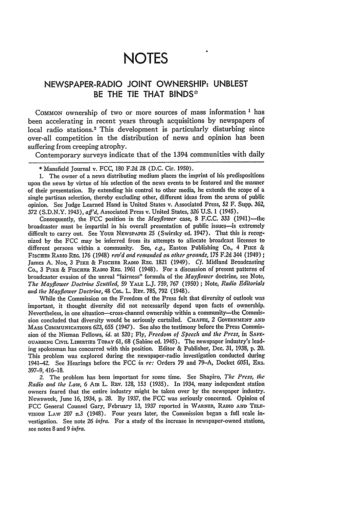## **NOTES**

## NEWSPAPER-RADIO **JOINT** OWNERSHIP: **UNBLEST** BE THE **TIE** THAT **BINDS"**

**COMMON** ownership of two or more sources of mass information **I** has been accelerating in recent years through acquisitions **by** newspapers of local radio stations.<sup>2</sup> This development is particularly disturbing since over-all competition in the distribution of news and opinion has been suffering from creeping atrophy.

Contemporary surveys indicate that of the 1394 communities with daily

**1.** The owner of a news distributing medium places the imprint of his predispositions upon the news **by** virtue of his selection of the news events to be featured and the manner of their presentation. **By** extending his control to other media, he extends the scope of a single partisan selection, thereby excluding other, different ideas from the arena of public opinion. See Judge Learned Hand in United States v. Associated Press, 52 F. Supp. 362, 372 **(S.D.N.Y.** 1943), *aff'd,* Associated Press v. United States, 326 **U.S.** 1 (1945).

Consequently, the FCC position in the *Mayflower* case, 8 F.C.C. 333 (1941)-the broadcaster must be impartial in his overall presentation of public issues-is extremely difficult to carry out. See YouR **NEWSPAPER** 25 (Swirsky ed. 1947). That this is recognized **by** the FCC may be inferred from its attempts to allocate broadcast licenses to different persons within a community. See, e.g., Easton Publishing Co., 4 PIKE & **FISCHER** RADIo **REG.** 176 (1948) *rev'd and remanded on other grounds,* 175 F.2d 344 (1949); James **A.** Noe, 3 PIKE & FISCHER RADIO **REG.** 1821 (1949). *Cf.* Midland Broadcasting Co., 3 **PIKE** & FISCHER **RADIO REG.** 1961 (1948). For a discussion of present patterns of broadcaster evasion of the unreal "fairness" formula of the *Mayflower* doctrine, **see** Note, *The Mayflower Doctrine Scuttled,* 59 YALE L.J. 759, 767 (1950) ; Note, *Radio Editorials and the Mayflower Doctrine,* 48 COL. L. RaV. 785, **792** (1948).

While the Commission on the Freedom of the Press felt that diversity of outlook was important, it thought diversity did not necessarily depend upon facts of ownership. Nevertheless, in one situation-cross-channel ownership within a community-the Commission concluded that diversity would be seriously curtailed. CHAFEE, 2 GOVERNMENT AND MASS **ComMUNcATIoNS** 623, 655 (1947). See also the testimony before the Press Commission **of** the Nieman Fellows, *id.* at 520; Fly, *Freedom of Speech and the Press,* in SAFE-GUARDING CIVIL **LIBERTIES TODAY** 61, 68 (Sabine ed. 1945). The newspaper industry's leading spokesman has concurred with this position. Editor & Publisher, Dec. **31,** 1938, **p.** 20. This problem was explored during the newspaper-radio investigation conducted during 1941-42. See Hearings before the **FCC** *in re:* Orders **79** and 79-A, Docket 6051, Exs. 397-9, 416-18.

2. The problem has been important for some time. **See** Shapiro, *The Press, the Radio and the Law,* 6 AIR L. REV. 128, 153 (1935). In 1934, many independent station owners feared that the entire industry might be taken over by the newspaper industry. Newsweek, June 16, 1934, **p. 28. By** 1937, the FCC was seriously concerned. Opinion of FCC General Counsel Gary, February 13, 1937 reported in WARNER, **RADIO AND TELE-**VISION LAW *207* n.3 (1948). Four years later, the Commission began a full scale investigation. See note *26 infra.* For a study of the increase in newspaper-owned stations, see notes 8 and 9 *infra.*

<sup>\*</sup> Mansfield Journal v. FCC, 180 F.2d 28 (D.C. Cir. 1950).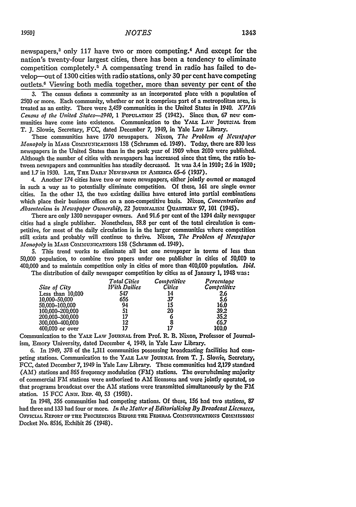newspapers,<sup>3</sup> only 117 have two or more competing.<sup>4</sup> And except for the nation's twenty-four largest cities, there has been a tendency to eliminate competition completely.5 A compensating trend in radio has failed to develop-out of 1300 cities with radio stations, only 30 per cent have competing outlets.6 Viewing both media together, more than seventy per cent of the

**3.** The census defines a community as an incorporated place with a population of 2500 or more. Each community, whether or not it comprises part of a metropolitan area, is treated as an entity. There were 3,459 communities in the United States in 1940. *XVItIh Cenms of the United States-1940,* 1 POPULATION **25** (1942). Since then, **67** new communities have come into existence. Communication to the YALE LAW JOURNAL from T. **J.** Slowie, Secretary, FCC, dated December **7,** 1949, in Yale Law Library.

These communities have **1770** newspapers. Nixon, *The Problem of Ncwstapcr Monopoly* in **MASS COMMUNicATioNs** 158 (Schramm **ed.** 1949). Today, there are **830** less newspapers in the United States than in the peak year of **1909** when **2600** were published. Although the number of cities with newspapers has increased since that **time,** the ratio **be**tween newspapers and communities has steadily decreased. It was **3.4** in **1910; 2.6** in **1920;** and 1.7 in 1930. LEE, THE DAILY NEWSPAPER IN AMERICA 65-6 (1937).

4. Another 174 cities have two or more newspapers, either jointly owned or managed in such a way as to potentially eliminate competition. **Of** these, **161** are single owner cities. In the other **13,** the two existing dailies have entered into partial combinations which place their business offices on a non-competitive basis. Nixon, *Concentration and Absenteeism in Newspaper Ownership,* 22 JouRNmISm QUARTLy **97, 101** (1945).

There are only 1300 newspaper owners. And **91.6** per cent of the 1394 daily newspaper cities had a single publisher. Nonetheless, **58.8** per cent of the total circulation is competitive, for most of the daily circulation is in the larger communities where competition still exists and probably will continue to thrive. Nixon, *The Problem of Newspapcr Monopoly* in **MAss** COMMUNICATIONS **158** (Schramm ed. 1949).

**5.** This trend works to eliminate all but one newspaper in *towns* of less than **50,000** population, to combine two papers under one publisher in cities of 50,000 to **400,000** and to maintain competition only in cities of more than 400,000 population. *Ibid.* The distribution of daily newspaper competition by cities as of Janaury **1,** 1948 was:

|                    | <b>Total Cities</b> | <i>Combetitive</i> | Percentage  |
|--------------------|---------------------|--------------------|-------------|
| Size of City       | <b>With Dailies</b> | <b>Cilies</b>      | Competitive |
| Less than $10,000$ | 547                 | 14                 | 2.6         |
| 10,000-50,000      | 656                 | 37                 | 5.6         |
| 50.000-100.000     | 94                  | 15                 | 16.0        |
| 100.000-200.000    | 51                  | 20                 | 39.2        |
| 200,000-300,000    | 17                  | o                  | 35.2        |
| 300,000-400,000    | 12                  | 8                  | 66.7        |
| 400,000 or over    | 17                  | 17                 | 100.0       |

Communication to the YALE LAW JOURNAL from Prof. R. B. Nixon, Professor of Journalism, Emory University, dated December 4, 1949, in Yale Law Library.

6. In 1949, 378 of the 1,311 communities possessing broadcasting facilities had competing stations. Communication to the YALE LAWv **JOURNAL** from T. **J.** Slowie, Secretary, FCC, dated December **7,** 1949 in Yale Law Library. These communities had Z179 standard (AM) stations and 865 frequency modulation **(FM)** stations. The overwhelming majority of commercial FM stations were authorized to **All** licensees and were jointly operated, so that programs broadcast over the **AM** stations were transmitted simultaneously by the FM station. **15 FCC** AxN. REP. 40, **53** (1950).

In 1948, **356** communities had competing stations. Of these, **156** had two stations, **87** had three and 133 had four or more. *In the Matter of Editorialidng By Broadcast Licensees,* **OFFICIAL REPORT OF THE PROCEEDINGS BEFORE THE FEDERAL COMMUNICATIONS COMMISSION** Docket No. **8516,** Exhibit **26** (1948).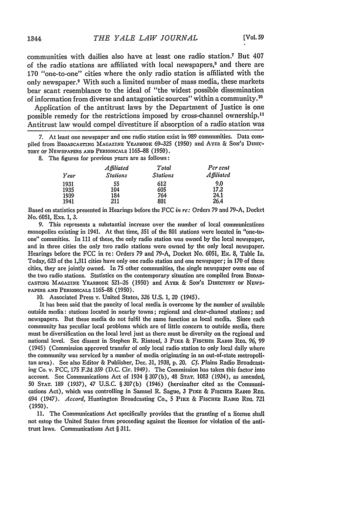communities with dailies also have at least one radio station.' But 407 of the radio stations are affiliated with local newspapers,<sup>8</sup> and there are **170** "one-to-one" cities where the only radio station is affiliated with the only newspaper.9 With such a limited number of mass media, these markets bear scant resemblance to the ideal of "the widest possible dissemination of information from diverse and antagonistic sources" within a community.<sup>10</sup>

Application of the antitrust laws **by** the Department of Justice is one possible remedy for the restrictions imposed **by** cross-channel ownership. <sup>1</sup> Antitrust law would compel divestiture if absorption of a radio station was

**7.** At least one newspaper and one radio station exist in 989 communities. Data compiled from BROADCASTING MAGAZINE YEARBOOK 69-325 (1950) and AYER & SON'S DIREC-TORY **or** NEWSPAPERS **AND PERIODICALS** 1165-88 (1950).

8. The figures for previous years are as follows:

|      | A ffiliated     | Total           | Per cent   |
|------|-----------------|-----------------|------------|
| Year | <b>Stations</b> | <b>Stations</b> | Affiliated |
| 1931 | 55              | 612             | 9.0        |
| 1935 | 104             | 605             | 17.2       |
| 1939 | 184             | 764             | 24.1       |
| 1941 | 211             | 801             | 26.4       |

Based on statistics presented in Hearings before the FCC *in re:* Orders 79 and 79-A, Docket No. 6051, Exs. 1, 3.

9. This represents a substantial increase over the number of local communications monopolies existing in 1941. At that time, 351 of the 801 stations were located in "one-toone" comunities. In 111 of these, the only radio station was owned by the local newspaper, and in three cities the only two radio stations were owned by the only local newspaper. Hearings before the FCC in re: Orders 79 and 79-A, Docket No. 6051, Ex. 8, Table Ia. Today, 623 of the 1,311 cities have only one radio station and one newspaper; in 170 of these cities, they are jointly owned. In 75 other communities, the single newspaper owns one **of** the two radio stations. Statistics on the contemporary situation are compiled from BROAD-CASTING MAGAZINE **YEARBOOK** 521-26 (1950) and AYER & SON'S DIRECTORY or NEWs- PAPERS **AND** PERIODICALS 1165-88 (1950).

10. Associated Press v. United States, 326 U.S. 1, 20 (1945).

It has been said that the paucity of local media is overcome by the number of available outside media: stations located in nearby towns; regional and clear-channel stations; and newspapers. But these media do not fulfil the same function as local media. Since each community has peculiar local problems which are of little concern to outside media, there must be diversification on the local level just as there must be diversity on the regional and national level. See dissent in Stephen R. Rintoul, 3 **PixE** & FiSCHER RADIO **REG,** *96,* 99 (1945) (Commission approved transfer of only local radio station to only local daily where the community was serviced **by** a number of media originating in an out-of-state metropolitan area). See also Editor & Publisher, Dec. 31, 1938, **p.** 20. *Cf.* Plains Radio Broadcasting Co. v. FCC, 175 F.2d 359 (D.C. Cir. 1949). The Commission has taken this factor into account. See Communications Act of 1934 § 307(b), 48 **STAT.** 1083 (1934), as amended, 50 **STAT.** 189 (1937), 47 U.S.C. §307(b) (1946) (hereinafter cited as the Communications Act), which was controlling in Samuel R. Sague, 3 PIKE & FISCHER RADIO REG. 694 (1947). *Accord,* Huntington Broadcasting Co., **5 PiKE** & FisciiE **RADIO** REa. 721 (1950).

11. The Communications Act specifically provides that the granting of a license shall not estop the United States from proceeding against the licensee for violation of the antitrust laws. Communications Act § 311.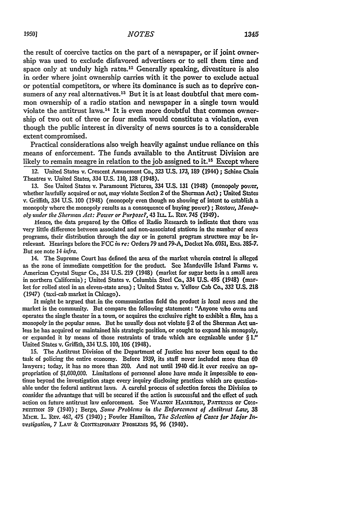the result of coercive tactics on the part of a newspaper, or if joint ownership was used to exclude disfavored advertisers or to sell them time and space only at unduly high rates.<sup>12</sup> Generally speaking, divestiture is also in order where joint ownership carries with it the power to exclude actual or potential competitors, or where its dominance is such as to deprive consumers of any real alternatives.<sup>13</sup> But it is at least doubtful that mere common ownership of a radio station and newspaper in a single town would violate the antitrust laws.<sup>14</sup> It is even more doubtful that common ownership of two out of three or four media would constitute a violation, even though the public interest in diversity of news sources is to a considerable extent compromised.

Practical considerations also weigh heavily against undue reliance on this means of enforcement. The funds available to the Antitrust Division are likely to remain meagre in relation to the job assigned to it.<sup>15</sup> Except where

12. United States **v.** Crescent Amusement **Co, 323 U.S. 173, 189 (1944) ; Schine Chain** Theatres v. United States, 334 **U.S.** 110, 128 (1948).

**13.** See United States v. Paramount Pictures, 334 **U.S. 131** (1948) (monopoly power, whether lawfully acquired or not, may violate Section 2 of the Sherman Act) **;** United States v. Griffith, 334 U.S. **100** (1948) (monopoly even though no showing of intent to establish a monopoly where the monopoly results as a consequence of buying power) ; Rostow, *Monopoly under the Sherman Act: Power or Purpose?,* 43 ILi. L. Ray. 745 (1949).

Hence, the data prepared **by** the Office of Radio Research to indicate that there was very little difference between associated and non-associated stations in the number of news programs, their distribution through the day or in general program structure may be irrelevant Hearings before the **FCC** *in re:* Orders **79** and **79-A,** Docket *No.* **6051, Exs. 385-7.** But see note 14 *infra.*

14. The Supreme Court has defined the area of the market wherein control is alleged as the zone of immediate competition for the product. See Mandeville Island Farms v. American Crystal Sugar Co., 334 U.S. **219** (1948) (market for sugar beets in a small area in northern California); United States v. Columbia Steel Co., 334 U.S. 495 (1948) (market for rolled steel in an eleven-state area) **;** United States v. Yellow Cab Co., **332** U.S. **218** (1947) (taxi-cab market in Chicago).

It might be argued that.in the communication field the product is local news and the market is the community. But compare the followving statement: "Anyone who owns and operates the single theater in a town, or acquires the exclusive right to exhibit a film, has a monopoly in the popular sense. But he usually does not violate  $\S 2$  of the Sherman Act unless he has acquired or maintained his strategic position, or sought to expand his monopoly, or expanded it by means of those restraints of trade which are cognizable under § *1."* United States v. Griffith, 334 U.S. 100, 106 (1948).

15. The Antitrust Division of the Department of Justice has never been equal to the task of policing the entire economy. Before 1939, its staff never included more than **60** lawyers; today, it has no more than 200. And not until 1940 did. it ever receive an appropriation of \$1,000,000. Limitations of personnel alone have made it impossible to continue beyond the investigation stage every inquiry disclosing practices which are questionable under the federal antitrust laws. **A** careful process of selection forces the Division to consider the advantage that will be secured if the action is successful and the effect of such action on future antitrust law enforcement. See WALTON HAMILTON, PATTERNS OF COM-**PErrrIoN 59** (1940); Berge, *Some Problems in the Enforcement of Antitrust Law,* **38** Mic. L. **REv.** 462, 475 (1940) ; Fowler Hamilton, *The Selection of Cases for Major Investigation, 7 LAW & CONTEMPORARY PROBLEMS 95, 96 (1940).*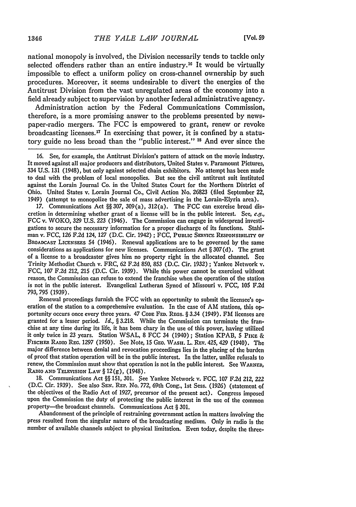national monopoly is involved, the Division necessarily tends to tackle only selected offenders rather than an entire industry.16 It would be virtually impossible to effect a uniform policy on cross-channel ownership by such procedures. Moreover, it seems undesirable to divert the energies of the Antitrust Division from the vast unregulated areas of the economy into a field already subject to supervision by another federal administrative agency.

Administration action by the Federal Communications Commission, therefore, is a more promising answer to the problems presented by newspaper-radio mergers. The FCC is empowered to grant, renew or revoke broadcasting licenses. 17 In exercising that power, it is confined by a statutory guide no less broad than the "public interest." **18** And ever since the

17. Communications Act §§ 307, 309(a), 312(a). The FCC can exercise broad discretion in determining whether grant of a license will be in the public interest. See, *e.g.,* FCC v. WOKO, **329** U.S. *223* (1946). The Commission can engage in widespread investigations to secure the necessary information for a proper discharge of its functions. Stahlman v. FCC, 126 F.2d 124, 127 (D.C. Cir. 1942) **;** FCC, PUBLIC SERVICE RESPONSIBILITY OF BROADCAST LICENSEES 54 (1946). Renewal applications are to be governed by the same considerations as applications for new licenses. Communications Act § **307** (d). The grant of a license to a broadcaster gives him no property right in the allocated channel. See Trinity Methodist Church v. FRC, *62* F.2d 850, **853** (D.C. Cir. **1932)** ; Yankee Network v. FCC, **107** F.2d 212, 215 (D.C. Cir. 1939). While this power cannot be exercised without reason, the Commission can refuse to extend the franchise when the operation of the station is not in the public interest. Evangelical Lutheran Synod of Missouri v. **FCC, 105** F.2d 793, **795** (1939).

Renewal proceedings furnish the **FCC** with an opportunity to submit the licensee's operation of the station to a comprehensive evaluation. In the case of AM stations, this opportunity occurs once every three years. 47 Code Fed. Regs. § 3.34 (1949). FM licenses are granted for a lesser period. *Id.*, § 3.218. While the Commission can terminate the franchise at any time during its life, it has been chary in the use of this power, having utilized it only twice in **23** years. Station WSAL, 8 FCC 34 (1940) ; Station KPAB, 5 Pin. **&** FiscHER RADIO REG. 1297 (1950). See Note, **15** GEo. WASH. L. REV. 425, 429 (1940). The major difference between denial and revocation proceedings lies in the placing of the burden of proof that station operation will be in the public interest. In the latter, unlike refusals to renew, the Commission must show that operation is not in the public interest. **See** WARNER, RADIO AND TELEVISION LAW  $\S 12(g)$ , (1948).

**18.** Communications Act §§ **151,** 301. See Yankee Network v. FCC, **107** F.2d 212, *222* (D.C. Cir. 1939). See also **SEN.** REP. No. **772,** 69th Cong., **1st** Sess. (1926) (statement of the objectives of the Radio Act of 1927, precursor of the present act). Congress imposed upon the Commission the duty of protecting the public interest in the use of the common property—the broadcast channels. Communications Act § 301.

Abandonment of the principle of restraining government action in matters involving the press resulted from the singular nature of the broadcasting medium. Only in radio is the number of available channels subject to physical limitation. Even today, despite the three-

**<sup>16.</sup>** See, for example, the Antitrust Division's pattern of attack on the movie industry. It moved against all major producers and distributors, United States v. Paramount Pictures, 334 U.S. 131 (1948), but only against selected chain exhibitors. No attempt has been made to deal with the problem of local monopolies. But see the civil antitrust suit instituted against the Lorain Journal Co. in the United States Court for the Northern District of Ohio. United States v. Lorain Journal Co., Civil Action No. 26823 (filed September 22, 1949) (attempt to monopolize the sale of mass advertising in the Lorain-Elyria area).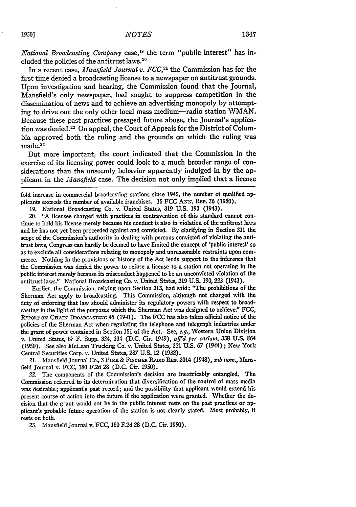*National Broadcasting Company* case,<sup>19</sup> the term "public interest" has included the policies of the antitrust laws.<sup>20</sup>

In a recent case, *Mansfield Journal v. FCC*,<sup>21</sup> the Commission has for the first time denied a broadcasting license to a newspaper on antitrust grounds. Upon investigation and hearing, the Commission found that the Journal, Mansfield's only newspaper, had sought to suppress competition in the dissemination of news and to achieve an advertising monopoly **by** attempting to drive out the only other local mass medium-radio station WMAN. Because these past practices presaged future abuse, the Journal's application was denied.<sup>22</sup> On appeal, the Court of Appeals for the District of Columbia approved both the ruling and the grounds on which the ruling **was**  $~\mathrm{made.}^{11}$ 

But more important, the court indicated that the Commission in the exercise of its licensing power could look to a much broader range of considerations than the unseemly behavior apparently indulged in by the applicant in the *Mansfield* case. The decision not only implied that a license

fold increase in commercial broadcasting stations since 1945, the number of qualified applicants exceeds the number of available franchises. **15 FCC** ANN. REP. 36 **(1950).**

19. National Broadcasting **Co.** v. United States, 319 U.S. 190 (1943).

20. "A licensee charged with practices in contravention of this standard cannot continue to hold his license merely because his conduct is also in violation of the antitrust laws and he has not yet been proceeded against and convicted. **By** clarifying in Section 311 the scope of the Commission's authority in dealing with persons convicted of violating the antitrust laws, Congress can hardly be deemed to have limited the concept of 'public interest' so as to exclude all considerations relating to monopoly and unreasonable restraints upon commerce. Nothing in the provisions or history of the Act lends support to the inference that the Commission was denied the power to refuse a license to a station not operating in the public interest merely because its misconduct happened to be an unconvicted violation of the antitrust laws." National Broadcasting Co. v. United States, 319 U.S. 190, **223** (1943).

Earlier, the Commission, relying upon Section 313, had said: "The prohibitions of the Sherman Act apply to broadcasting. This Commission, although not charged with the duty of enforcing that law should administer its regulatory powers with respect to broadcasting in the light of the purposes which the Sherman Act was designed to achieve." FCC, **REPoRT oN CHAIN** BROADCASTING 46 (1941). The **FCC** has also taken official notice of the policies of the Sherman Act when regulating the telephone and telegraph industries under the grant of power contained in Section **151** of the Act. See, e.g., Western Union Division v. United States, **87** F. Supp. 324, 334 (D.C. Cir. 1949), *aff'd per curiam,* 338 U.S. 864 (1950). See also McLean Trucking Co. v. United States, **321** U.S. **67** (1944) **;** New York Central Securities Corp. v. United States, **287** U.S. 12 (1932).

21. Mansfield Journal Co., 3 PIKE & FISCHER RADIO REG. 2014 (1948), *sub nom.*, Mansfield Journal v. FCC, 180 **F.2d 28** (D.C. Cir. 1950).

22. The components of the Commission's decision are inextricably entangled. The Commission referred to its determination that diversification of the control of mass media was desirable; applicant's past record; and the possibility that applicant would extend his present course of action into the future if the application were granted. Whether the decision that the grant would not be in the public interest rests on the past practices or **ap**plicant's probable future operation of the station is not clearly stated. Most probably, it rests on both.

**23.** Mansfield Journal v. FCC, **180** F.2d **28** (D.C. Cir. 1950).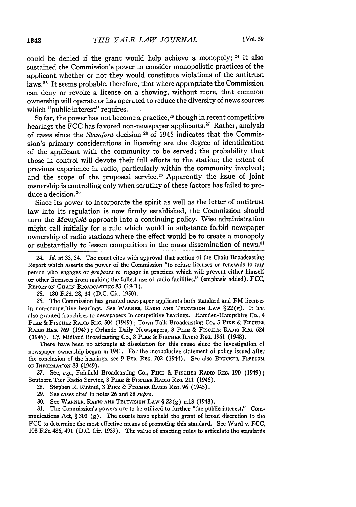could be denied if the grant would help achieve a monopoly; **24** it also sustained the Commission's power to consider monopolistic practices of the applicant whether or not they would constitute violations of the antitrust laws. 25 It seems probable, therefore, that where appropriate the Commission can deny or revoke a license on a showing, without more, that common ownership will operate or has operated to reduce the diversity of news sources which "public interest" requires.

So far, the power has not become a practice,<sup>26</sup> though in recent competitive hearings the FCC has favored non-newspaper applicants.<sup>27</sup> Rather, analysis of cases since the *Stamford* decision **2s** of 1945 indicates that the Commission's primary considerations in licensing are the degree of identification of the applicant with the community to be served; the probability that those in control will devote their full efforts to the station; the extent of previous experience in radio, particularly within the community involved; and the scope of the proposed service.<sup>29</sup> Apparently the issue of joint ownership is controlling only when scrutiny of these factors has failed to produce a decision.<sup>30</sup>

Since its power to incorporate the spirit as well as the letter of antitrust law into its regulation is now firmly established, the Commission should turn the *Mansfield* approach into a continuing policy. Wise administration might call initially for a rule which would in substance forbid newspaper ownership of radio stations where the effect would be to create a monopoly or substantially to lessen competition in the mass dissemination of news.<sup>31</sup>

24. *Id.* at **33,** 34. The court cites with approval that section of the Chain Broadcasting Report which asserts the power of the Commission "to refuse licenses or renewals to any person who engages or *proposes to engage* in practices which will prevent either himself or other licensees from making the fullest use of radio facilities." (emphasis added). FCC, **REPORT ON** CHAIN BROADCASTING 83 (1941).

**25.** 180 F.2d. 28, 34 (D.C. Cir. 1950).

*26.* The Commission has granted newspaper applicants both standard and FM licenses in non-competitive hearings. See WARNER, RADIO **AND TELvUsION** LAW § 22 (g). It has also granted franchises to newspapers in competitive hearings. Hamden-Hampshire Co., 4 PIKE & FISCHER RADIO REG. 504 (1949); Town Talk Broadcasting Co., 3 PIKE & FISCHER RADIO REG. 769 (1947) ; Orlando Daily Newspapers, 3 PIKE & FISCHER RADIO REG. 624 (1946). *Cf.* Midland Broadcasting Co., 3 **PIKE** & FIScHER RADIO REG. 1961 (1948).

There have been no attempts at dissolution for this cause since the investigation of newspaper ownership began in 1941. For the inconclusive statement of policy issued after the conclusion of the hearings, see 9 FED. REG. 702 (1944). See also BRUCKER, FREEDOM **OF INFORMATION** 83:(1949).

27. See, *e.g.*, Fairfield Broadcasting Co., PIKE & FISCHER RADIO REG. 190 (1949); Southern Tier Radio Service, 3 PixE & FISCHER **RADIO** REG. 211 (1946).

28. Stephen R. Rintoul, 3 PIKE & FISCHER RADIO REG. 96 (1945).

- 29. See cases cited in notes 26 and 28 *supra.*
- 30. See WARNER, RADIO AND TELEVISION LAW § 22(g) n.13 (1948).

31. The Commission's powers are to be utilized to further "the public interest." Communications Act,  $\S 303$  (g). The courts have upheld the grant of broad discretion to the FCC to determine the most effective means of promoting this standard. See Ward v. FCC, 108 F.2d 486, 491 (D.C. Cir. 1939). The value of enacting rules to articulate the standards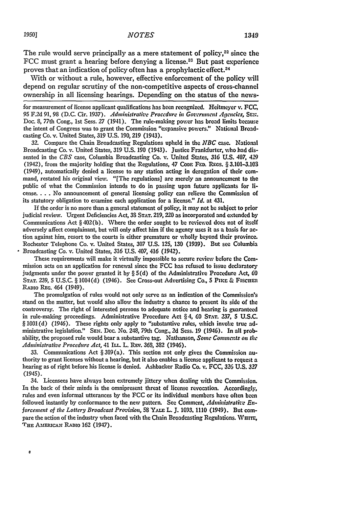The rule would serve principally as a mere statement of policy, $32$  since the FCC must grant a hearing before denying a license.<sup>33</sup> But past experience proves that an indication of policy often has a prophylactic effect.<sup>34</sup>

With or without a rule, however, effective enforcement of the policy will depend on regular scrutiny of the non-competitive aspects of cross-channel ownership in all licensing hearings. Depending on the status of the news-

for measurement of license applicant qualifications has been recognized. Heitmeyer **v. FCC <sup>95</sup>**F2d **91,** 98 **(D.C.** Cir. **1937).** *Administrative Procedure in Giernent Agencies, Szri.* Doc. **8,** 77th Cong., 1st Sess. **27** (1941). The rule-making power has broad limits because the intent of Congress was to grant the Commission "expansive powers." National Broadcasting Co. v. United States, **319 U.S. 190, 219** (1943).

**32.** Compare the Chain Broadcasting Regulations upheld in the *NBC* case. National Broadcasting Co. v. United States, **319 U.S. 190** (1943). Justice Frankfurter, who had dissented in the *CBS* case, Columbia Broadcasting Co. **v.** United States, **316 U.S.** 407, 4-29 (1942), from the majority holding that the Regulations, 47 Cope FED. REGS. § 3.101-3.103 (1949), automatically denied a license to any station acting in derogation of their command, restated his original view. "[The regulations] are merely an announcement to **the** public of what the Commission intends to do in passing upon future applicants for li**cense....** No announcement of general licensing policy can relieve the Commission of its statutory obligation to examine each application for a license." *Id.* at 431.

If the order is no more than a general statement of policy, it may not be subject to prior judicial review. Urgent Deficiencies Act, **38 STAT. 219, 220** as incorporated and extended **by** Communications Act § 402(b). Where the order sought to be reviewed does not of itself adversely affect complainant, but will only affect him if the agency uses it as a basis for action against him, resort to the courts is either premature or wholly beyond their province. Rochester Telephone Co. v. United States, **307 U.S.** 125, **130 (1939).** But see Columbia Broadcasting Co. v. United States, *316* **U.S.** *407, 416* (1942).

These requirements will make it virtually impossible to secure review before the Commission acts on an application for renewal since the **FCC** has refused to issue declaratory judgments under the power granted it **by** § **5(d)** of the Administrative Procedure Act, 60 **STAT. 239, 5 U.S.C.** § 1004(d) (1946). See Cross-out Advertising Co., **5** Pxxr **&** Fiscnu RADIO **REG.** 464 (1949).

The promulgation of rules would not only serve as an indication of the Commission's stand on the matter, but would also allow the industry a chance to present its side of the controversy. The right of interested persons to adequate notice and hearing is guaranteed in rule-making proceedings. Administrative Procedure Act § 4, 60 **ST. T. 237, 5 U.S.C.** § 1001(d) (1946). These rights only apply to "substantive rules, which invoke true administrative legislation." **SEN.** Dc. No. 248, 79th Cong., **2d** Sess. **19** (1946). In all probability, the proposed rule would bear a substantive tag. Nathanson, *Some Comments on the Administrative Procedure Act,* 41 **ILL.** L. Ray. **363, 382** (1946).

**33.** Communications Act § 309(a). This section not only gives the Commission authority to grant licenses without a hearing, but it also enables a license applicant to request a hearing as of right before his license is denied. Ashbacker Radio Co. v. FCC, **326** U.S. *327* (1945).

34. Licensees have always been extremely jittery when dealing with the Commission. In the back of their minds is the omnipresent threat of license revocation. Accordingly, rules and even informal utterances by the FCC or its individual members have often been followed instantly by conformance to the new pattern. See Comment, *Administrat've Enforcement of the Lottery Broadcast Provision,* 58 YALE L. J. 1093, 1110 (1949). But compare the action of the industry when faced with the Chain Broadcasting Regulations. WHITE, **THE AmEmcAx** RADio **162** (1947).

ø